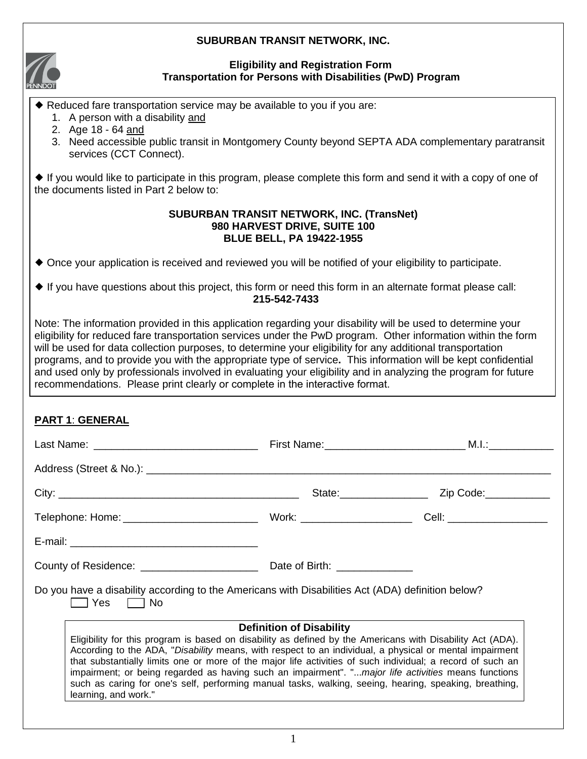### **SUBURBAN TRANSIT NETWORK, INC.**



### **Eligibility and Registration Form Transportation for Persons with Disabilities (PwD) Program**

Reduced fare transportation service may be available to you if you are:

- 1. A person with a disability and
- 2. Age 18 64 and
- 3. Need accessible public transit in Montgomery County beyond SEPTA ADA complementary paratransit services (CCT Connect).

 If you would like to participate in this program, please complete this form and send it with a copy of one of the documents listed in Part 2 below to:

#### **SUBURBAN TRANSIT NETWORK, INC. (TransNet) 980 HARVEST DRIVE, SUITE 100 BLUE BELL, PA 19422-1955**

Once your application is received and reviewed you will be notified of your eligibility to participate.

 $\blacklozenge$  If you have questions about this project, this form or need this form in an alternate format please call: **215-542-7433**

Note: The information provided in this application regarding your disability will be used to determine your eligibility for reduced fare transportation services under the PwD program. Other information within the form will be used for data collection purposes, to determine your eligibility for any additional transportation programs, and to provide you with the appropriate type of service**.** This information will be kept confidential and used only by professionals involved in evaluating your eligibility and in analyzing the program for future recommendations. Please print clearly or complete in the interactive format.

## **PART 1**: **GENERAL**

|                                                                                                                                                                                                                                                                                                                                                                                                                                                                                                                                                                                                                 | First Name: __________________________________ M.I.: ___________________________ |                                   |  |  |
|-----------------------------------------------------------------------------------------------------------------------------------------------------------------------------------------------------------------------------------------------------------------------------------------------------------------------------------------------------------------------------------------------------------------------------------------------------------------------------------------------------------------------------------------------------------------------------------------------------------------|----------------------------------------------------------------------------------|-----------------------------------|--|--|
| Address (Street & No.): Letters and the street of the street of the street of the street of the street of the street of the street of the street of the street of the street of the street of the street of the street of the                                                                                                                                                                                                                                                                                                                                                                                   |                                                                                  |                                   |  |  |
|                                                                                                                                                                                                                                                                                                                                                                                                                                                                                                                                                                                                                 |                                                                                  | State: <u>Cambridge 2ip</u> Code: |  |  |
|                                                                                                                                                                                                                                                                                                                                                                                                                                                                                                                                                                                                                 |                                                                                  |                                   |  |  |
|                                                                                                                                                                                                                                                                                                                                                                                                                                                                                                                                                                                                                 |                                                                                  |                                   |  |  |
|                                                                                                                                                                                                                                                                                                                                                                                                                                                                                                                                                                                                                 |                                                                                  |                                   |  |  |
| Do you have a disability according to the Americans with Disabilities Act (ADA) definition below?<br>$\Box$ Yes $\Box$ No                                                                                                                                                                                                                                                                                                                                                                                                                                                                                       |                                                                                  |                                   |  |  |
| <b>Definition of Disability</b><br>Eligibility for this program is based on disability as defined by the Americans with Disability Act (ADA).<br>According to the ADA, "Disability means, with respect to an individual, a physical or mental impairment<br>that substantially limits one or more of the major life activities of such individual; a record of such an<br>impairment; or being regarded as having such an impairment". "major life activities means functions<br>such as caring for one's self, performing manual tasks, walking, seeing, hearing, speaking, breathing,<br>learning, and work." |                                                                                  |                                   |  |  |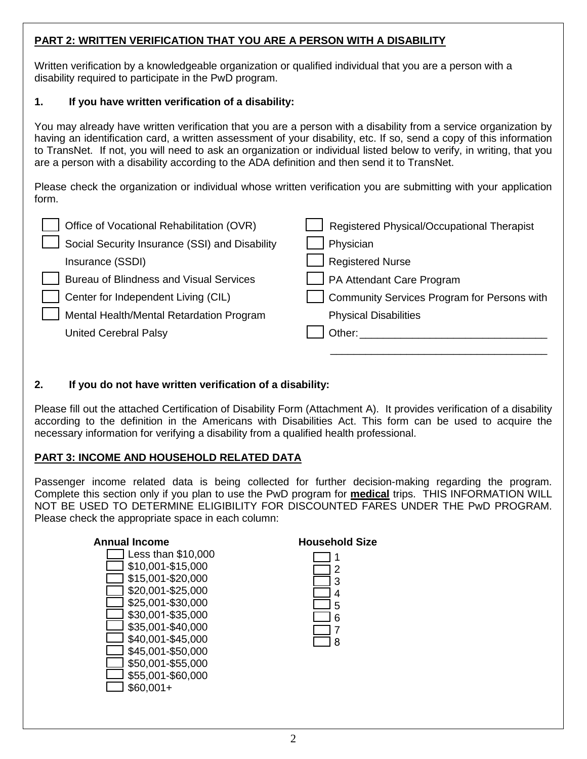## **PART 2: WRITTEN VERIFICATION THAT YOU ARE A PERSON WITH A DISABILITY**

Written verification by a knowledgeable organization or qualified individual that you are a person with a disability required to participate in the PwD program.

## **1. If you have written verification of a disability:**

You may already have written verification that you are a person with a disability from a service organization by having an identification card, a written assessment of your disability, etc. If so, send a copy of this information to TransNet. If not, you will need to ask an organization or individual listed below to verify, in writing, that you are a person with a disability according to the ADA definition and then send it to TransNet.

Please check the organization or individual whose written verification you are submitting with your application form.

| Office of Vocational Rehabilitation (OVR)      | Registered Physical/Occupational Therapist  |
|------------------------------------------------|---------------------------------------------|
| Social Security Insurance (SSI) and Disability | Physician                                   |
| Insurance (SSDI)                               | <b>Registered Nurse</b>                     |
| <b>Bureau of Blindness and Visual Services</b> | PA Attendant Care Program                   |
| Center for Independent Living (CIL)            | Community Services Program for Persons with |
| Mental Health/Mental Retardation Program       | <b>Physical Disabilities</b>                |
| <b>United Cerebral Palsy</b>                   | Other:                                      |
|                                                |                                             |

## **2. If you do not have written verification of a disability:**

Please fill out the attached Certification of Disability Form (Attachment A). It provides verification of a disability according to the definition in the Americans with Disabilities Act. This form can be used to acquire the necessary information for verifying a disability from a qualified health professional.

## **PART 3: INCOME AND HOUSEHOLD RELATED DATA**

Passenger income related data is being collected for further decision-making regarding the program. Complete this section only if you plan to use the PwD program for **medical** trips. THIS INFORMATION WILL NOT BE USED TO DETERMINE ELIGIBILITY FOR DISCOUNTED FARES UNDER THE PwD PROGRAM. Please check the appropriate space in each column:

### **Annual Income**

### **Household Size**

| ë. |
|----|
|    |
|    |
| 6  |
|    |
| ۲  |
|    |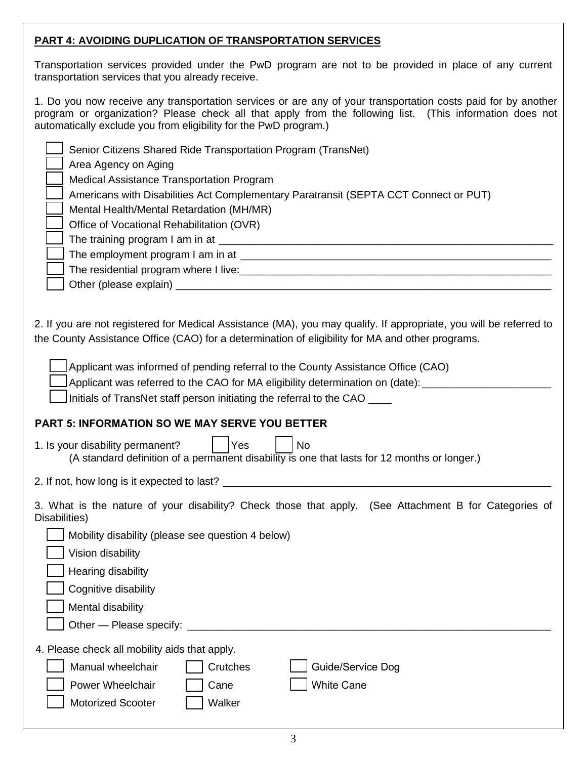## **PART 4: AVOIDING DUPLICATION OF TRANSPORTATION SERVICES**

Transportation services provided under the PwD program are not to be provided in place of any current transportation services that you already receive.

1. Do you now receive any transportation services or are any of your transportation costs paid for by another program or organization? Please check all that apply from the following list. (This information does not automatically exclude you from eligibility for the PwD program.)

| Senior Citizens Shared Ride Transportation Program (TransNet)<br>Area Agency on Aging<br><b>Medical Assistance Transportation Program</b><br>Americans with Disabilities Act Complementary Paratransit (SEPTA CCT Connect or PUT)<br>Mental Health/Mental Retardation (MH/MR)<br>Office of Vocational Rehabilitation (OVR) |  |  |
|----------------------------------------------------------------------------------------------------------------------------------------------------------------------------------------------------------------------------------------------------------------------------------------------------------------------------|--|--|
| 2. If you are not registered for Medical Assistance (MA), you may qualify. If appropriate, you will be referred to<br>the County Assistance Office (CAO) for a determination of eligibility for MA and other programs.                                                                                                     |  |  |
| Applicant was informed of pending referral to the County Assistance Office (CAO)<br>Applicant was referred to the CAO for MA eligibility determination on (date):<br>Initials of TransNet staff person initiating the referral to the CAO                                                                                  |  |  |
| <b>PART 5: INFORMATION SO WE MAY SERVE YOU BETTER</b>                                                                                                                                                                                                                                                                      |  |  |
| 1. Is your disability permanent?<br>Yes<br><b>No</b><br>(A standard definition of a permanent disability is one that lasts for 12 months or longer.)                                                                                                                                                                       |  |  |
|                                                                                                                                                                                                                                                                                                                            |  |  |
| 3. What is the nature of your disability? Check those that apply. (See Attachment B for Categories of<br>Disabilities)<br>Mobility disability (please see question 4 below)<br>Vision disability<br>Hearing disability<br>Cognitive disability<br>Mental disability                                                        |  |  |
| 4. Please check all mobility aids that apply.<br>Manual wheelchair<br>Guide/Service Dog<br>Crutches<br><b>White Cane</b><br>Power Wheelchair<br>Cane<br><b>Motorized Scooter</b><br>Walker                                                                                                                                 |  |  |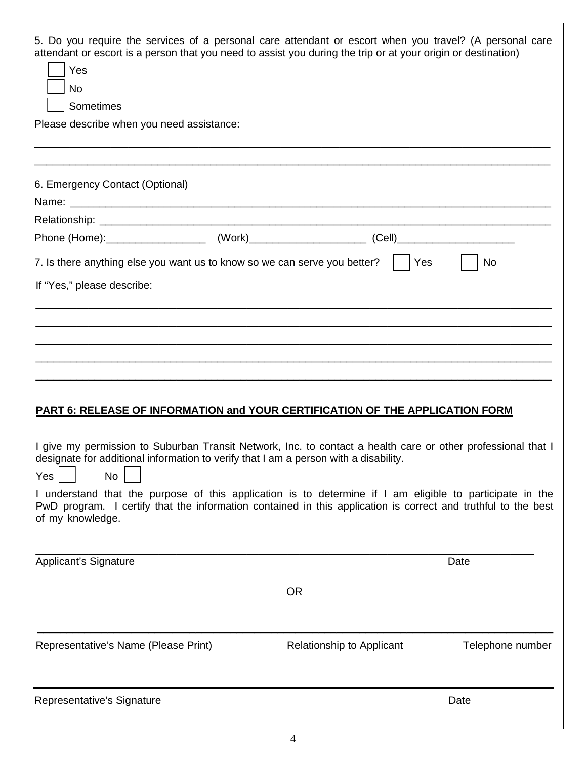| Yes<br><b>No</b><br>Sometimes<br>Please describe when you need assistance:                                                                                                                                                                                                                                                                                                                                                                                                                                                                                 |  | 5. Do you require the services of a personal care attendant or escort when you travel? (A personal care<br>attendant or escort is a person that you need to assist you during the trip or at your origin or destination) |                  |  |
|------------------------------------------------------------------------------------------------------------------------------------------------------------------------------------------------------------------------------------------------------------------------------------------------------------------------------------------------------------------------------------------------------------------------------------------------------------------------------------------------------------------------------------------------------------|--|--------------------------------------------------------------------------------------------------------------------------------------------------------------------------------------------------------------------------|------------------|--|
|                                                                                                                                                                                                                                                                                                                                                                                                                                                                                                                                                            |  |                                                                                                                                                                                                                          |                  |  |
| 6. Emergency Contact (Optional)                                                                                                                                                                                                                                                                                                                                                                                                                                                                                                                            |  |                                                                                                                                                                                                                          |                  |  |
|                                                                                                                                                                                                                                                                                                                                                                                                                                                                                                                                                            |  |                                                                                                                                                                                                                          |                  |  |
|                                                                                                                                                                                                                                                                                                                                                                                                                                                                                                                                                            |  | 7. Is there anything else you want us to know so we can serve you better? $\vert \vert$ Yes                                                                                                                              | No               |  |
| If "Yes," please describe:                                                                                                                                                                                                                                                                                                                                                                                                                                                                                                                                 |  |                                                                                                                                                                                                                          |                  |  |
| PART 6: RELEASE OF INFORMATION and YOUR CERTIFICATION OF THE APPLICATION FORM<br>I give my permission to Suburban Transit Network, Inc. to contact a health care or other professional that I<br>designate for additional information to verify that I am a person with a disability.<br><b>No</b><br>Yes<br>I understand that the purpose of this application is to determine if I am eligible to participate in the<br>PwD program. I certify that the information contained in this application is correct and truthful to the best<br>of my knowledge. |  |                                                                                                                                                                                                                          |                  |  |
| <b>Applicant's Signature</b>                                                                                                                                                                                                                                                                                                                                                                                                                                                                                                                               |  |                                                                                                                                                                                                                          | Date             |  |
|                                                                                                                                                                                                                                                                                                                                                                                                                                                                                                                                                            |  | <b>OR</b>                                                                                                                                                                                                                |                  |  |
| Representative's Name (Please Print)                                                                                                                                                                                                                                                                                                                                                                                                                                                                                                                       |  | Relationship to Applicant                                                                                                                                                                                                | Telephone number |  |
| Representative's Signature                                                                                                                                                                                                                                                                                                                                                                                                                                                                                                                                 |  |                                                                                                                                                                                                                          | Date             |  |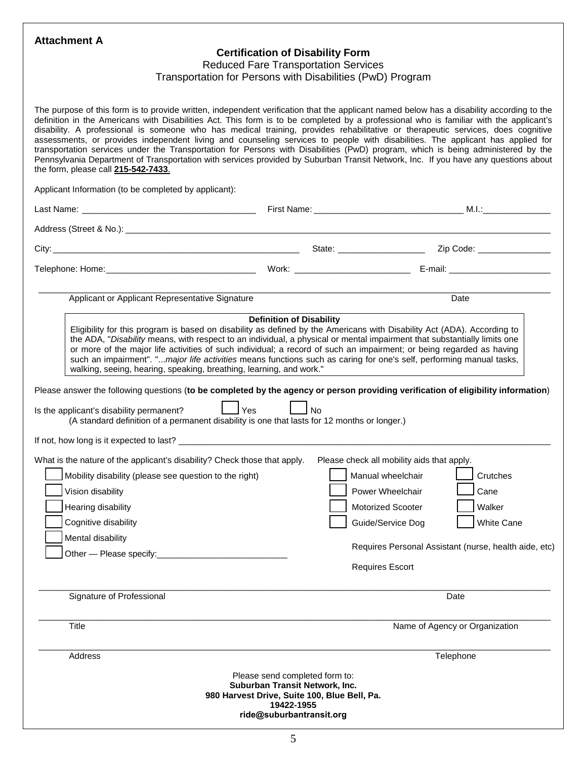#### **Attachment A**

### **Certification of Disability Form**

Reduced Fare Transportation Services

#### Transportation for Persons with Disabilities (PwD) Program

The purpose of this form is to provide written, independent verification that the applicant named below has a disability according to the definition in the Americans with Disabilities Act. This form is to be completed by a professional who is familiar with the applicant's disability. A professional is someone who has medical training, provides rehabilitative or therapeutic services, does cognitive assessments, or provides independent living and counseling services to people with disabilities. The applicant has applied for transportation services under the Transportation for Persons with Disabilities (PwD) program, which is being administered by the Pennsylvania Department of Transportation with services provided by Suburban Transit Network, Inc. If you have any questions about the form, please call **215-542-7433**.

Applicant Information (to be completed by applicant):

| Applicant or Applicant Representative Signature                                                                                                                                                                                                                                                                                                                                                                                                                                                                                                                           |                                                                                                                                                            |                                                                                                                                                                                                                          | Date                                     |
|---------------------------------------------------------------------------------------------------------------------------------------------------------------------------------------------------------------------------------------------------------------------------------------------------------------------------------------------------------------------------------------------------------------------------------------------------------------------------------------------------------------------------------------------------------------------------|------------------------------------------------------------------------------------------------------------------------------------------------------------|--------------------------------------------------------------------------------------------------------------------------------------------------------------------------------------------------------------------------|------------------------------------------|
| Eligibility for this program is based on disability as defined by the Americans with Disability Act (ADA). According to<br>the ADA, "Disability means, with respect to an individual, a physical or mental impairment that substantially limits one<br>or more of the major life activities of such individual; a record of such an impairment; or being regarded as having<br>such an impairment". "major life activities means functions such as caring for one's self, performing manual tasks,<br>walking, seeing, hearing, speaking, breathing, learning, and work." | <b>Definition of Disability</b>                                                                                                                            |                                                                                                                                                                                                                          |                                          |
| Please answer the following questions (to be completed by the agency or person providing verification of eligibility information)<br>Is the applicant's disability permanent?<br>(A standard definition of a permanent disability is one that lasts for 12 months or longer.)                                                                                                                                                                                                                                                                                             | $\mathsf{\mathsf{I}}$ Yes<br>l No                                                                                                                          |                                                                                                                                                                                                                          |                                          |
|                                                                                                                                                                                                                                                                                                                                                                                                                                                                                                                                                                           |                                                                                                                                                            |                                                                                                                                                                                                                          |                                          |
| What is the nature of the applicant's disability? Check those that apply.<br>Mobility disability (please see question to the right)<br>Vision disability<br>Hearing disability<br>Cognitive disability<br>Mental disability<br>Signature of Professional                                                                                                                                                                                                                                                                                                                  |                                                                                                                                                            | Please check all mobility aids that apply.<br>Manual wheelchair<br>Power Wheelchair<br>Motorized Scooter<br>Guide/Service Dog<br>Requires Personal Assistant (nurse, health aide, etc)<br><b>Requires Escort</b><br>Date | Crutches<br>Cane<br>Walker<br>White Cane |
| Title                                                                                                                                                                                                                                                                                                                                                                                                                                                                                                                                                                     |                                                                                                                                                            |                                                                                                                                                                                                                          | Name of Agency or Organization           |
| Address                                                                                                                                                                                                                                                                                                                                                                                                                                                                                                                                                                   |                                                                                                                                                            | Telephone                                                                                                                                                                                                                |                                          |
|                                                                                                                                                                                                                                                                                                                                                                                                                                                                                                                                                                           | Please send completed form to:<br>Suburban Transit Network, Inc.<br>980 Harvest Drive, Suite 100, Blue Bell, Pa.<br>19422-1955<br>ride@suburbantransit.org |                                                                                                                                                                                                                          |                                          |